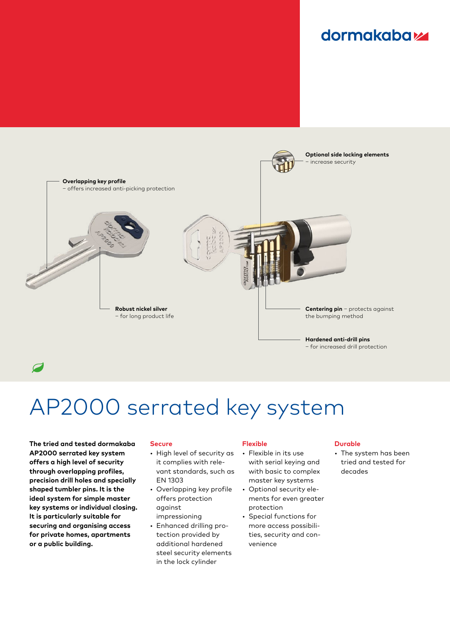### **dormakabazz**



 $\overline{a}$ 

# AP2000 serrated key system

**The tried and tested dormakaba AP2000 serrated key system offers a high level of security through overlapping profiles, precision drill holes and specially shaped tumbler pins. It is the ideal system for simple master key systems or individual closing. It is particularly suitable for securing and organising access for private homes, apartments or a public building.**

#### **Secure**

- High level of security as it complies with relevant standards, such as EN 1303
- Overlapping key profile offers protection against
- impressioning • Enhanced drilling protection provided by additional hardened steel security elements in the lock cylinder

#### **Flexible**

- Flexible in its use with serial keying and with basic to complex master key systems
- Optional security elements for even greater protection
- Special functions for more access possibilities, security and convenience

#### **Durable**

• The system has been tried and tested for decades